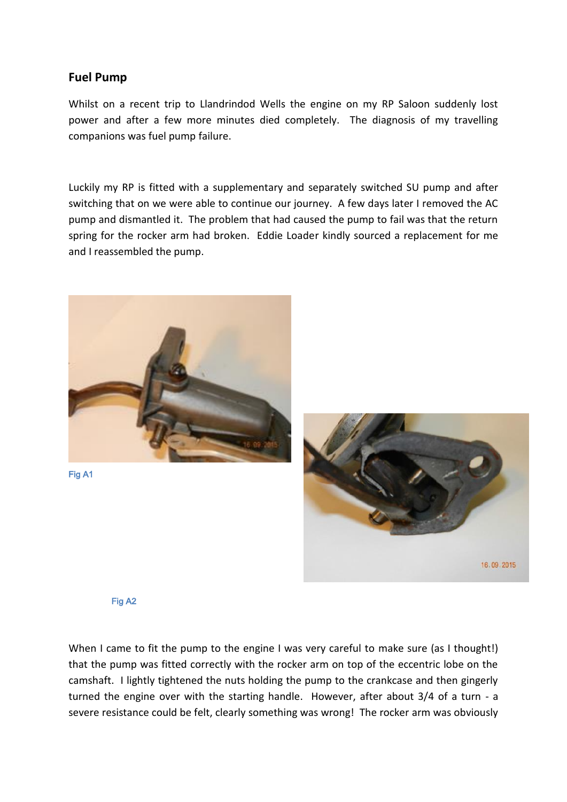## **Fuel Pump**

Whilst on a recent trip to Llandrindod Wells the engine on my RP Saloon suddenly lost power and after a few more minutes died completely. The diagnosis of my travelling companions was fuel pump failure.

Luckily my RP is fitted with a supplementary and separately switched SU pump and after switching that on we were able to continue our journey. A few days later I removed the AC pump and dismantled it. The problem that had caused the pump to fail was that the return spring for the rocker arm had broken. Eddie Loader kindly sourced a replacement for me and I reassembled the pump.





Fig A2

When I came to fit the pump to the engine I was very careful to make sure (as I thought!) that the pump was fitted correctly with the rocker arm on top of the eccentric lobe on the camshaft. I lightly tightened the nuts holding the pump to the crankcase and then gingerly turned the engine over with the starting handle. However, after about 3/4 of a turn - a severe resistance could be felt, clearly something was wrong! The rocker arm was obviously